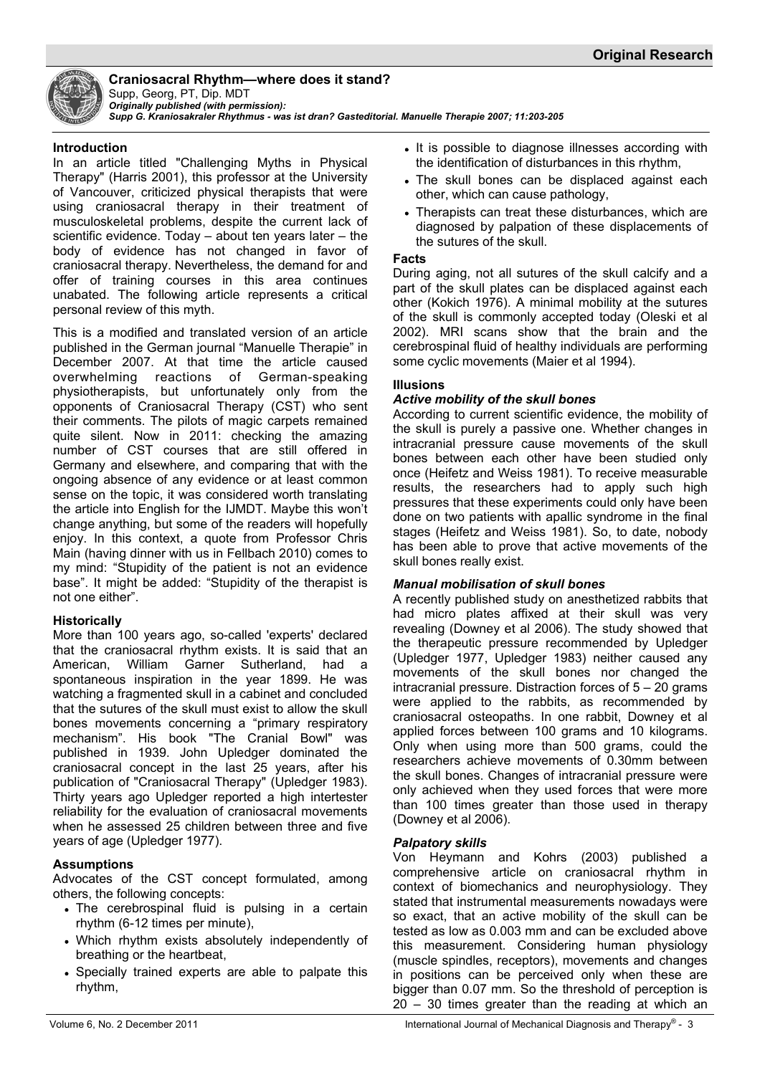

# **Craniosacral Rhythm—where does it stand?**

Supp, Georg, PT, Dip. MDT *Originally published (with permission):* 

*Supp G. Kraniosakraler Rhythmus - was ist dran? Gasteditorial. Manuelle Therapie 2007; 11:203-205*

#### **Introduction**

In an article titled "Challenging Myths in Physical Therapy" (Harris 2001), this professor at the University of Vancouver, criticized physical therapists that were using craniosacral therapy in their treatment of musculoskeletal problems, despite the current lack of scientific evidence. Today – about ten years later – the body of evidence has not changed in favor of craniosacral therapy. Nevertheless, the demand for and offer of training courses in this area continues unabated. The following article represents a critical personal review of this myth.

This is a modified and translated version of an article published in the German journal "Manuelle Therapie" in December 2007. At that time the article caused overwhelming reactions of German-speaking physiotherapists, but unfortunately only from the opponents of Craniosacral Therapy (CST) who sent their comments. The pilots of magic carpets remained quite silent. Now in 2011: checking the amazing number of CST courses that are still offered in Germany and elsewhere, and comparing that with the ongoing absence of any evidence or at least common sense on the topic, it was considered worth translating the article into English for the IJMDT. Maybe this won't change anything, but some of the readers will hopefully enjoy. In this context, a quote from Professor Chris Main (having dinner with us in Fellbach 2010) comes to my mind: "Stupidity of the patient is not an evidence base". It might be added: "Stupidity of the therapist is not one either".

## **Historically**

More than 100 years ago, so-called 'experts' declared that the craniosacral rhythm exists. It is said that an American, William Garner Sutherland, had a spontaneous inspiration in the year 1899. He was watching a fragmented skull in a cabinet and concluded that the sutures of the skull must exist to allow the skull bones movements concerning a "primary respiratory mechanism". His book "The Cranial Bowl" was published in 1939. John Upledger dominated the craniosacral concept in the last 25 years, after his publication of "Craniosacral Therapy" (Upledger 1983). Thirty years ago Upledger reported a high intertester reliability for the evaluation of craniosacral movements when he assessed 25 children between three and five years of age (Upledger 1977).

## **Assumptions**

Advocates of the CST concept formulated, among others, the following concepts:

- The cerebrospinal fluid is pulsing in a certain rhythm (6-12 times per minute),
- Which rhythm exists absolutely independently of breathing or the heartbeat,
- Specially trained experts are able to palpate this rhythm,
- It is possible to diagnose illnesses according with the identification of disturbances in this rhythm,
- The skull bones can be displaced against each other, which can cause pathology,
- Therapists can treat these disturbances, which are diagnosed by palpation of these displacements of the sutures of the skull.

#### **Facts**

During aging, not all sutures of the skull calcify and a part of the skull plates can be displaced against each other (Kokich 1976). A minimal mobility at the sutures of the skull is commonly accepted today (Oleski et al 2002). MRI scans show that the brain and the cerebrospinal fluid of healthy individuals are performing some cyclic movements (Maier et al 1994).

# **Illusions**

## *Active mobility of the skull bones*

According to current scientific evidence, the mobility of the skull is purely a passive one. Whether changes in intracranial pressure cause movements of the skull bones between each other have been studied only once (Heifetz and Weiss 1981). To receive measurable results, the researchers had to apply such high pressures that these experiments could only have been done on two patients with apallic syndrome in the final stages (Heifetz and Weiss 1981). So, to date, nobody has been able to prove that active movements of the skull bones really exist.

## *Manual mobilisation of skull bones*

A recently published study on anesthetized rabbits that had micro plates affixed at their skull was very revealing (Downey et al 2006). The study showed that the therapeutic pressure recommended by Upledger (Upledger 1977, Upledger 1983) neither caused any movements of the skull bones nor changed the intracranial pressure. Distraction forces of 5 – 20 grams were applied to the rabbits, as recommended by craniosacral osteopaths. In one rabbit, Downey et al applied forces between 100 grams and 10 kilograms. Only when using more than 500 grams, could the researchers achieve movements of 0.30mm between the skull bones. Changes of intracranial pressure were only achieved when they used forces that were more than 100 times greater than those used in therapy (Downey et al 2006).

## *Palpatory skills*

Von Heymann and Kohrs (2003) published a comprehensive article on craniosacral rhythm in context of biomechanics and neurophysiology. They stated that instrumental measurements nowadays were so exact, that an active mobility of the skull can be tested as low as 0.003 mm and can be excluded above this measurement. Considering human physiology (muscle spindles, receptors), movements and changes in positions can be perceived only when these are bigger than 0.07 mm. So the threshold of perception is 20 – 30 times greater than the reading at which an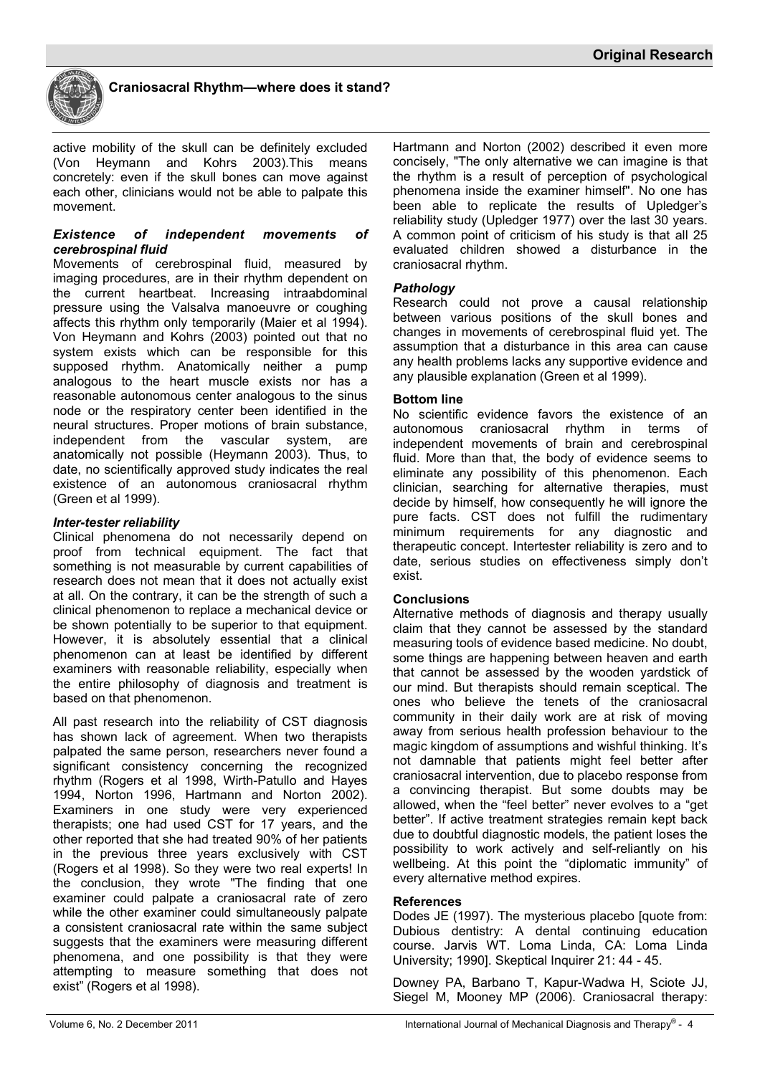

active mobility of the skull can be definitely excluded (Von Heymann and Kohrs 2003).This means concretely: even if the skull bones can move against each other, clinicians would not be able to palpate this movement.

#### *Existence of independent movements of cerebrospinal fluid*

Movements of cerebrospinal fluid, measured by imaging procedures, are in their rhythm dependent on the current heartbeat. Increasing intraabdominal pressure using the Valsalva manoeuvre or coughing affects this rhythm only temporarily (Maier et al 1994). Von Heymann and Kohrs (2003) pointed out that no system exists which can be responsible for this supposed rhythm. Anatomically neither a pump analogous to the heart muscle exists nor has a reasonable autonomous center analogous to the sinus node or the respiratory center been identified in the neural structures. Proper motions of brain substance, independent from the vascular system, are anatomically not possible (Heymann 2003). Thus, to date, no scientifically approved study indicates the real existence of an autonomous craniosacral rhythm (Green et al 1999).

# *Inter-tester reliability*

Clinical phenomena do not necessarily depend on proof from technical equipment. The fact that something is not measurable by current capabilities of research does not mean that it does not actually exist at all. On the contrary, it can be the strength of such a clinical phenomenon to replace a mechanical device or be shown potentially to be superior to that equipment. However, it is absolutely essential that a clinical phenomenon can at least be identified by different examiners with reasonable reliability, especially when the entire philosophy of diagnosis and treatment is based on that phenomenon.

All past research into the reliability of CST diagnosis has shown lack of agreement. When two therapists palpated the same person, researchers never found a significant consistency concerning the recognized rhythm (Rogers et al 1998, Wirth-Patullo and Hayes 1994, Norton 1996, Hartmann and Norton 2002). Examiners in one study were very experienced therapists; one had used CST for 17 years, and the other reported that she had treated 90% of her patients in the previous three years exclusively with CST (Rogers et al 1998). So they were two real experts! In the conclusion, they wrote "The finding that one examiner could palpate a craniosacral rate of zero while the other examiner could simultaneously palpate a consistent craniosacral rate within the same subject suggests that the examiners were measuring different phenomena, and one possibility is that they were attempting to measure something that does not exist" (Rogers et al 1998).

Hartmann and Norton (2002) described it even more concisely, "The only alternative we can imagine is that the rhythm is a result of perception of psychological phenomena inside the examiner himself". No one has been able to replicate the results of Upledger's reliability study (Upledger 1977) over the last 30 years. A common point of criticism of his study is that all 25 evaluated children showed a disturbance in the craniosacral rhythm.

# *Pathology*

Research could not prove a causal relationship between various positions of the skull bones and changes in movements of cerebrospinal fluid yet. The assumption that a disturbance in this area can cause any health problems lacks any supportive evidence and any plausible explanation (Green et al 1999).

# **Bottom line**

No scientific evidence favors the existence of an autonomous craniosacral rhythm in terms independent movements of brain and cerebrospinal fluid. More than that, the body of evidence seems to eliminate any possibility of this phenomenon. Each clinician, searching for alternative therapies, must decide by himself, how consequently he will ignore the pure facts. CST does not fulfill the rudimentary minimum requirements for any diagnostic and therapeutic concept. Intertester reliability is zero and to date, serious studies on effectiveness simply don't exist.

## **Conclusions**

Alternative methods of diagnosis and therapy usually claim that they cannot be assessed by the standard measuring tools of evidence based medicine. No doubt, some things are happening between heaven and earth that cannot be assessed by the wooden yardstick of our mind. But therapists should remain sceptical. The ones who believe the tenets of the craniosacral community in their daily work are at risk of moving away from serious health profession behaviour to the magic kingdom of assumptions and wishful thinking. It's not damnable that patients might feel better after craniosacral intervention, due to placebo response from a convincing therapist. But some doubts may be allowed, when the "feel better" never evolves to a "get better". If active treatment strategies remain kept back due to doubtful diagnostic models, the patient loses the possibility to work actively and self-reliantly on his wellbeing. At this point the "diplomatic immunity" of every alternative method expires.

## **References**

Dodes JE (1997). The mysterious placebo [quote from: Dubious dentistry: A dental continuing education course. Jarvis WT. Loma Linda, CA: Loma Linda University; 1990]. Skeptical Inquirer 21: 44 - 45.

Downey PA, Barbano T, Kapur-Wadwa H, Sciote JJ, Siegel M, Mooney MP (2006). Craniosacral therapy: